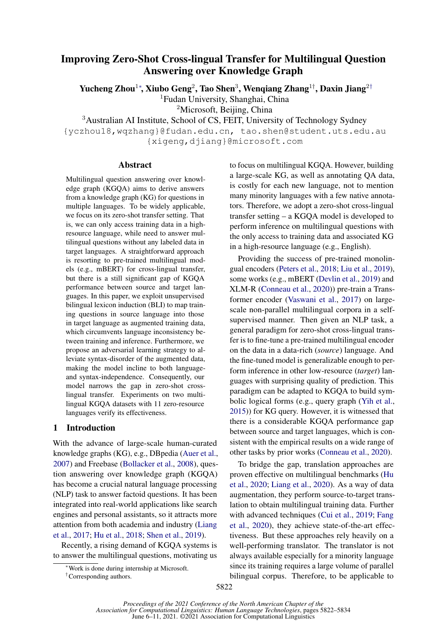# Improving Zero-Shot Cross-lingual Transfer for Multilingual Question Answering over Knowledge Graph

Yucheng Zhou $^{1*}$ , Xiubo Geng $^{2}$ , Tao Shen $^{3}$ , Wenqiang Zhang $^{1\dagger}$ , Daxin Jiang $^{2\dagger}$ 

<sup>1</sup>Fudan University, Shanghai, China

<sup>2</sup>Microsoft, Beijing, China

<sup>3</sup>Australian AI Institute, School of CS, FEIT, University of Technology Sydney

{yczhou18,wqzhang}@fudan.edu.cn, tao.shen@student.uts.edu.au {xigeng,djiang}@microsoft.com

## Abstract

Multilingual question answering over knowledge graph (KGQA) aims to derive answers from a knowledge graph (KG) for questions in multiple languages. To be widely applicable, we focus on its zero-shot transfer setting. That is, we can only access training data in a highresource language, while need to answer multilingual questions without any labeled data in target languages. A straightforward approach is resorting to pre-trained multilingual models (e.g., mBERT) for cross-lingual transfer, but there is a still significant gap of KGQA performance between source and target languages. In this paper, we exploit unsupervised bilingual lexicon induction (BLI) to map training questions in source language into those in target language as augmented training data, which circumvents language inconsistency between training and inference. Furthermore, we propose an adversarial learning strategy to alleviate syntax-disorder of the augmented data, making the model incline to both languageand syntax-independence. Consequently, our model narrows the gap in zero-shot crosslingual transfer. Experiments on two multilingual KGQA datasets with 11 zero-resource languages verify its effectiveness.

# 1 Introduction

With the advance of large-scale human-curated knowledge graphs (KG), e.g., DBpedia [\(Auer et al.,](#page-9-0) [2007\)](#page-9-0) and Freebase [\(Bollacker et al.,](#page-9-1) [2008\)](#page-9-1), question answering over knowledge graph (KGQA) has become a crucial natural language processing (NLP) task to answer factoid questions. It has been integrated into real-world applications like search engines and personal assistants, so it attracts more attention from both academia and industry [\(Liang](#page-11-0) [et al.,](#page-11-0) [2017;](#page-11-0) [Hu et al.,](#page-10-0) [2018;](#page-10-0) [Shen et al.,](#page-11-1) [2019\)](#page-11-1).

Recently, a rising demand of KGQA systems is to answer the multilingual questions, motivating us to focus on multilingual KGQA. However, building a large-scale KG, as well as annotating QA data, is costly for each new language, not to mention many minority languages with a few native annotators. Therefore, we adopt a zero-shot cross-lingual transfer setting – a KGQA model is developed to perform inference on multilingual questions with the only access to training data and associated KG in a high-resource language (e.g., English).

Providing the success of pre-trained monolingual encoders [\(Peters et al.,](#page-11-2) [2018;](#page-11-2) [Liu et al.,](#page-11-3) [2019\)](#page-11-3), some works (e.g., mBERT [\(Devlin et al.,](#page-9-2) [2019\)](#page-9-2) and XLM-R [\(Conneau et al.,](#page-9-3) [2020\)](#page-9-3)) pre-train a Transformer encoder [\(Vaswani et al.,](#page-12-0) [2017\)](#page-12-0) on largescale non-parallel multilingual corpora in a selfsupervised manner. Then given an NLP task, a general paradigm for zero-shot cross-lingual transfer is to fine-tune a pre-trained multilingual encoder on the data in a data-rich (*source*) language. And the fine-tuned model is generalizable enough to perform inference in other low-resource (*target*) languages with surprising quality of prediction. This paradigm can be adapted to KGQA to build symbolic logical forms (e.g., query graph [\(Yih et al.,](#page-12-1) [2015\)](#page-12-1)) for KG query. However, it is witnessed that there is a considerable KGQA performance gap between source and target languages, which is consistent with the empirical results on a wide range of other tasks by prior works [\(Conneau et al.,](#page-9-3) [2020\)](#page-9-3).

To bridge the gap, translation approaches are proven effective on multilingual benchmarks [\(Hu](#page-10-1) [et al.,](#page-10-1) [2020;](#page-10-1) [Liang et al.,](#page-11-4) [2020\)](#page-11-4). As a way of data augmentation, they perform source-to-target translation to obtain multilingual training data. Further with advanced techniques [\(Cui et al.,](#page-9-4) [2019;](#page-9-4) [Fang](#page-10-2) [et al.,](#page-10-2) [2020\)](#page-10-2), they achieve state-of-the-art effectiveness. But these approaches rely heavily on a well-performing translator. The translator is not always available especially for a minority language since its training requires a large volume of parallel bilingual corpus. Therefore, to be applicable to

<sup>∗</sup>Work is done during internship at Microsoft.

<sup>†</sup>Corresponding authors.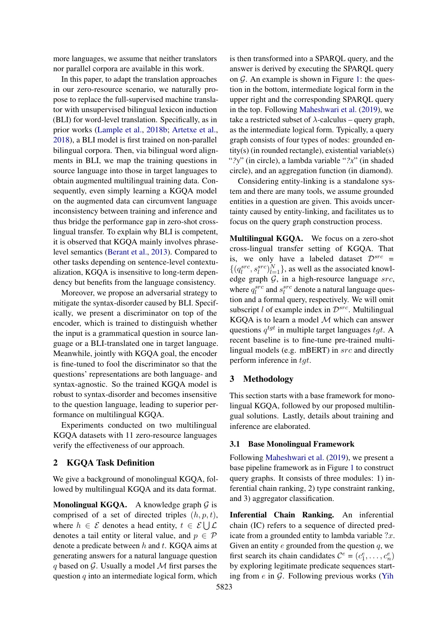more languages, we assume that neither translators nor parallel corpora are available in this work.

In this paper, to adapt the translation approaches in our zero-resource scenario, we naturally propose to replace the full-supervised machine translator with unsupervised bilingual lexicon induction (BLI) for word-level translation. Specifically, as in prior works [\(Lample et al.,](#page-11-5) [2018b;](#page-11-5) [Artetxe et al.,](#page-9-5) [2018\)](#page-9-5), a BLI model is first trained on non-parallel bilingual corpora. Then, via bilingual word alignments in BLI, we map the training questions in source language into those in target languages to obtain augmented multilingual training data. Consequently, even simply learning a KGQA model on the augmented data can circumvent language inconsistency between training and inference and thus bridge the performance gap in zero-shot crosslingual transfer. To explain why BLI is competent, it is observed that KGQA mainly involves phraselevel semantics [\(Berant et al.,](#page-9-6) [2013\)](#page-9-6). Compared to other tasks depending on sentence-level contextualization, KGQA is insensitive to long-term dependency but benefits from the language consistency.

Moreover, we propose an adversarial strategy to mitigate the syntax-disorder caused by BLI. Specifically, we present a discriminator on top of the encoder, which is trained to distinguish whether the input is a grammatical question in source language or a BLI-translated one in target language. Meanwhile, jointly with KGQA goal, the encoder is fine-tuned to fool the discriminator so that the questions' representations are both language- and syntax-agnostic. So the trained KGQA model is robust to syntax-disorder and becomes insensitive to the question language, leading to superior performance on multilingual KGQA.

Experiments conducted on two multilingual KGQA datasets with 11 zero-resource languages verify the effectiveness of our approach.

# 2 KGQA Task Definition

We give a background of monolingual KGQA, followed by multilingual KGQA and its data format.

**Monolingual KGQA.** A knowledge graph  $G$  is comprised of a set of directed triples  $(h, p, t)$ , where  $h \in \mathcal{E}$  denotes a head entity,  $t \in \mathcal{E} \cup \mathcal{L}$ denotes a tail entity or literal value, and  $p \in \mathcal{P}$ denote a predicate between  $h$  and  $t$ . KGQA aims at generating answers for a natural language question q based on  $\mathcal G$ . Usually a model  $\mathcal M$  first parses the question  $q$  into an intermediate logical form, which is then transformed into a SPARQL query, and the answer is derived by executing the SPARQL query on  $\mathcal G$ . An example is shown in Figure [1:](#page-2-0) the question in the bottom, intermediate logical form in the upper right and the corresponding SPARQL query in the top. Following [Maheshwari et al.](#page-11-6) [\(2019\)](#page-11-6), we take a restricted subset of  $\lambda$ -calculus – query graph, as the intermediate logical form. Typically, a query graph consists of four types of nodes: grounded entity(s) (in rounded rectangle), existential variable(s) "*?y*" (in circle), a lambda variable "*?x*" (in shaded circle), and an aggregation function (in diamond).

Considering entity-linking is a standalone system and there are many tools, we assume grounded entities in a question are given. This avoids uncertainty caused by entity-linking, and facilitates us to focus on the query graph construction process.

Multilingual KGQA. We focus on a zero-shot cross-lingual transfer setting of KGQA. That is, we only have a labeled dataset  $\mathcal{D}^{src} =$  $\{(q_l^{src}, s_l^{src})_{l=1}^N\}$ , as well as the associated knowledge graph  $G$ , in a high-resource language  $src$ , where  $q_l^{src}$  and  $s_l^{src}$  denote a natural language question and a formal query, respectively. We will omit subscript  $l$  of example index in  $\mathcal{D}^{src}$ . Multilingual KGQA is to learn a model  $M$  which can answer questions  $q^{tgt}$  in multiple target languages  $tgt.$  A recent baseline is to fine-tune pre-trained multilingual models (e.g. mBERT) in src and directly perform inference in tgt.

## 3 Methodology

This section starts with a base framework for monolingual KGQA, followed by our proposed multilingual solutions. Lastly, details about training and inference are elaborated.

#### <span id="page-1-0"></span>3.1 Base Monolingual Framework

Following [Maheshwari et al.](#page-11-6) [\(2019\)](#page-11-6), we present a base pipeline framework as in Figure [1](#page-2-0) to construct query graphs. It consists of three modules: 1) inferential chain ranking, 2) type constraint ranking, and 3) aggregator classification.

Inferential Chain Ranking. An inferential chain (IC) refers to a sequence of directed predicate from a grounded entity to lambda variable  $?x$ . Given an entity  $e$  grounded from the question  $q$ , we first search its chain candidates  $C^e = (c_1^e, \dots, c_n^e)$ by exploring legitimate predicate sequences starting from  $e$  in  $\mathcal G$ . Following previous works [\(Yih](#page-12-1)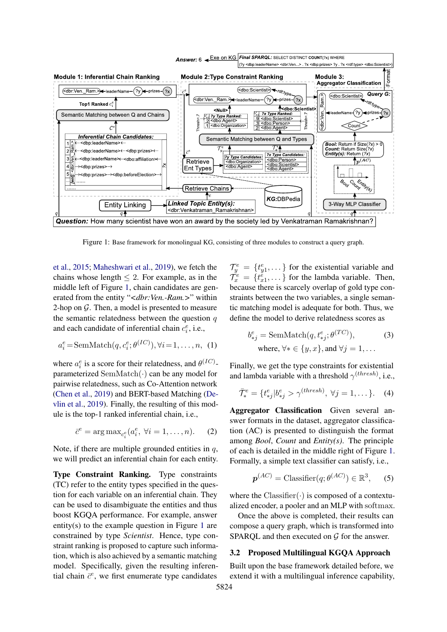<span id="page-2-0"></span>

Figure 1: Base framework for monolingual KG, consisting of three modules to construct a query graph.

[et al.,](#page-12-1) [2015;](#page-12-1) [Maheshwari et al.,](#page-11-6) [2019\)](#page-11-6), we fetch the chains whose length  $\leq 2$ . For example, as in the middle left of Figure [1,](#page-2-0) chain candidates are generated from the entity "*<dbr:Ven.-Ram.>*" within 2-hop on  $G$ . Then, a model is presented to measure the semantic relatedness between the question  $q$ and each candidate of inferential chain  $c_i^e$ , i.e.,

$$
a_i^e = \text{SemMatch}(q, c_i^e; \theta^{(IC)}), \forall i = 1, \dots, n, (1)
$$

where  $a_i^e$  is a score for their relatedness, and  $\theta^{(IC)}$ parameterized SemMatch(·) can be any model for pairwise relatedness, such as Co-Attention network [\(Chen et al.,](#page-9-7) [2019\)](#page-9-7) and BERT-based Matching [\(De](#page-9-2)[vlin et al.,](#page-9-2) [2019\)](#page-9-2). Finally, the resulting of this module is the top-1 ranked inferential chain, i.e.,

$$
\bar{c}^e = \arg \max_{c_i^e} (a_i^e, \ \forall i = 1, \dots, n). \tag{2}
$$

Note, if there are multiple grounded entities in  $q$ , we will predict an inferential chain for each entity.

Type Constraint Ranking. Type constraints (TC) refer to the entity types specified in the question for each variable on an inferential chain. They can be used to disambiguate the entities and thus boost KGQA performance. For example, answer entity(s) to the example question in Figure [1](#page-2-0) are constrained by type *Scientist*. Hence, type constraint ranking is proposed to capture such information, which is also achieved by a semantic matching model. Specifically, given the resulting inferential chain  $\bar{c}^e$ , we first enumerate type candidates

 $\mathcal{T}_{y}^{e} = \{t_{y1}^{e}, \dots\}$  for the existential variable and  $\mathcal{T}_{x}^{\epsilon} = \{t_{x1}^{\epsilon}, \dots\}$  for the lambda variable. Then, because there is scarcely overlap of gold type constraints between the two variables, a single semantic matching model is adequate for both. Thus, we define the model to derive relatedness scores as

<span id="page-2-2"></span>
$$
b_{*j}^e = \text{SemMatch}(q, t_{*j}^e; \theta^{(TC)}),
$$
  
where,  $\forall * \in \{y, x\}, \text{and } \forall j = 1, ...$  (3)

<span id="page-2-1"></span>Finally, we get the type constraints for existential and lambda variable with a threshold  $\gamma^{(thresh)}$ , i.e.,

$$
\bar{\mathcal{T}}^e_* = \{t^e_{*j} | b^e_{*j} > \gamma^{(thresh)}, \ \forall j = 1, \dots \}.
$$
 (4)

Aggregator Classification Given several answer formats in the dataset, aggregator classification (AC) is presented to distinguish the format among *Bool*, *Count* and *Entity(s)*. The principle of each is detailed in the middle right of Figure [1.](#page-2-0) Formally, a simple text classifier can satisfy, i.e.,

$$
\boldsymbol{p}^{(AC)} = \text{Classifier}(q; \theta^{(AC)}) \in \mathbb{R}^3, \qquad (5)
$$

where the  $\text{Classifier}(\cdot)$  is composed of a contextualized encoder, a pooler and an MLP with softmax.

Once the above is completed, their results can compose a query graph, which is transformed into SPARQL and then executed on  $G$  for the answer.

# 3.2 Proposed Multilingual KGQA Approach

Built upon the base framework detailed before, we extend it with a multilingual inference capability,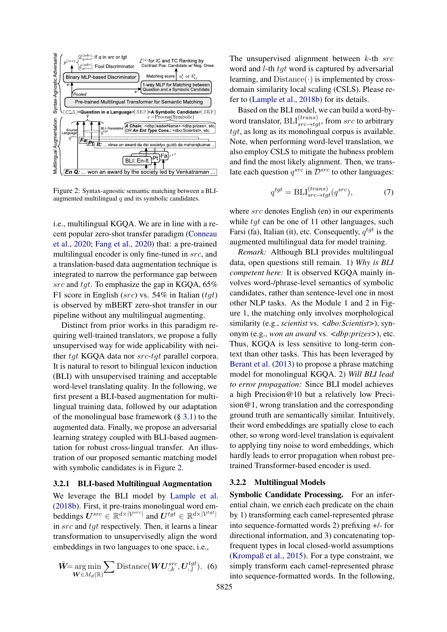<span id="page-3-0"></span>

Figure 2: Syntax-agnostic semantic matching between a BLIaugmented multilingual  $q$  and its symbolic candidates.

i.e., multilingual KGQA. We are in line with a recent popular zero-shot transfer paradigm [\(Conneau](#page-9-3) [et al.,](#page-9-3) [2020;](#page-9-3) [Fang et al.,](#page-10-2) [2020\)](#page-10-2) that: a pre-trained multilingual encoder is only fine-tuned in src, and a translation-based data augmentation technique is integrated to narrow the performance gap between src and tgt. To emphasize the gap in KGQA, 65% F1 score in English ( $src$ ) vs. 54% in Italian ( $tgt$ ) is observed by mBERT zero-shot transfer in our pipeline without any multilingual augmenting.

Distinct from prior works in this paradigm requiring well-trained translators, we propose a fully unsupervised way for wide applicability with neither tgt KGQA data nor src-tgt parallel corpora. It is natural to resort to bilingual lexicon induction (BLI) with unsupervised training and acceptable word-level translating quality. In the following, we first present a BLI-based augmentation for multilingual training data, followed by our adaptation of the monolingual base framework  $(\S 3.1)$  $(\S 3.1)$  to the augmented data. Finally, we propose an adversarial learning strategy coupled with BLI-based augmentation for robust cross-lingual transfer. An illustration of our proposed semantic matching model with symbolic candidates is in Figure [2.](#page-3-0)

#### 3.2.1 BLI-based Multilingual Augmentation

We leverage the BLI model by [Lample et al.](#page-11-5) [\(2018b\)](#page-11-5). First, it pre-trains monolingual word embeddings  $U^{src} \in \mathbb{R}^{d \times |\mathcal{V}^{src}|}$  and  $U^{tgt} \in \mathbb{R}^{d \times |\mathcal{V}^{tgt}|}$ in src and tgt respectively. Then, it learns a linear transformation to unsupervisedly align the word embeddings in two languages to one space, i.e.,

$$
\bar{W}\text{=}\underset{\boldsymbol{W}\in M_d(\mathbb{R})}{\arg\min} \sum \text{Distance}(\boldsymbol{W}\boldsymbol{U}_{:,k}^{src},\boldsymbol{U}_{:,l}^{tgt}).\tag{6}
$$

The unsupervised alignment between  $k$ -th  $src$ word and *l*-th *tgt* word is captured by adversarial learning, and  $Distance(\cdot)$  is implemented by crossdomain similarity local scaling (CSLS). Please refer to [\(Lample et al.,](#page-11-5) [2018b\)](#page-11-5) for its details.

Based on the BLI model, we can build a word-byword translator,  $BLI_{src \to tgt}^{(trans)}$ , from  $src$  to arbitrary  $tqt$ , as long as its monolingual corpus is available. Note, when performing word-level translation, we also employ CSLS to mitigate the hubness problem and find the most likely alignment. Then, we translate each question  $q^{src}$  in  $\mathcal{D}^{src}$  to other languages:

$$
q^{tgt} = \text{BLI}_{src \to tgt}^{(trans)}(q^{src}),\tag{7}
$$

where src denotes English (en) in our experiments while  $tqt$  can be one of 11 other languages, such Farsi (fa), Italian (it), etc. Consequently,  $q^{tgt}$  is the augmented multilingual data for model training.

*Remark:* Although BLI provides multilingual data, open questions still remain. 1) *Why is BLI competent here:* It is observed KGQA mainly involves word-/phrase-level semantics of symbolic candidates, rather than sentence-level one in most other NLP tasks. As the Module 1 and 2 in Figure [1,](#page-2-0) the matching only involves morphological similarity (e.g., *scientist* vs. *<dbo:Scientist>*), synonym (e.g., *won an award* vs. *<dbp:prizes>*), etc. Thus, KGQA is less sensitive to long-term context than other tasks. This has been leveraged by [Berant et al.](#page-9-6) [\(2013\)](#page-9-6) to propose a phrase matching model for monolingual KGQA. 2) *Will BLI lead to error propagation:* Since BLI model achieves a high Precision@10 but a relatively low Precision@1, wrong translation and the corresponding ground truth are semantically similar. Intuitively, their word embeddings are spatially close to each other, so wrong word-level translation is equivalent to applying tiny noise to word embeddings, which hardly leads to error propagation when robust pretrained Transformer-based encoder is used.

## 3.2.2 Multilingual Models

Symbolic Candidate Processing. For an inferential chain, we enrich each predicate on the chain by 1) transforming each camel-represented phrase into sequence-formatted words 2) prefixing +/- for directional information, and 3) concatenating topfrequent types in local closed-world assumptions [\(Krompaß et al.,](#page-11-7) [2015\)](#page-11-7). For a type constraint, we simply transform each camel-represented phrase into sequence-formatted words. In the following,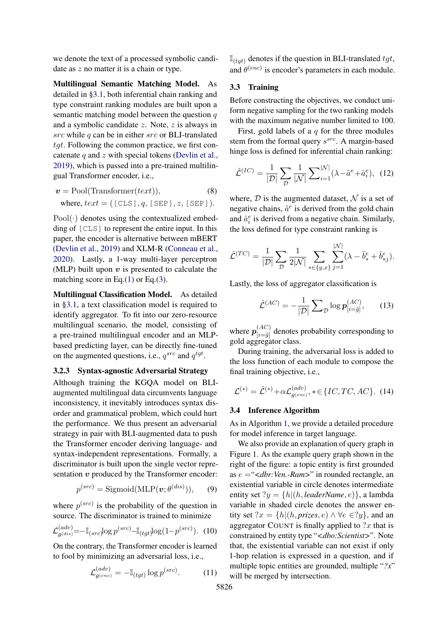we denote the text of a processed symbolic candidate as  $z$  no matter it is a chain or type.

Multilingual Semantic Matching Model. As detailed in [§3.1,](#page-1-0) both inferential chain ranking and type constraint ranking modules are built upon a semantic matching model between the question  $q$ and a symbolic candidate  $z$ . Note,  $z$  is always in  $src$  while  $q$  can be in either  $src$  or BLI-translated tgt. Following the common practice, we first concatenate  $q$  and  $z$  with special tokens [\(Devlin et al.,](#page-9-2) [2019\)](#page-9-2), which is passed into a pre-trained multilingual Transformer encoder, i.e.,

$$
v = \text{Pool}(\text{Transformer}(text)),
$$
\n
$$
\text{where, } text = (\text{[CLS]}, q, \text{[SEP]}, z, \text{[SEP]}).
$$

 $Pool(\cdot)$  denotes using the contextualized embedding of [CLS] to represent the entire input. In this paper, the encoder is alternative between mBERT [\(Devlin et al.,](#page-9-2) [2019\)](#page-9-2) and XLM-R [\(Conneau et al.,](#page-9-3) [2020\)](#page-9-3). Lastly, a 1-way multi-layer perceptron (MLP) built upon  $v$  is presented to calculate the matching score in Eq.[\(1\)](#page-2-1) or Eq.[\(3\)](#page-2-2).

Multilingual Classification Model. As detailed in [§3.1,](#page-1-0) a text classification model is required to identify aggregator. To fit into our zero-resource multilingual scenario, the model, consisting of a pre-trained multilingual encoder and an MLPbased predicting layer, can be directly fine-tuned on the augmented questions, i.e.,  $q^{src}$  and  $q^{tgt}$ .

## 3.2.3 Syntax-agnostic Adversarial Strategy

Although training the KGQA model on BLIaugmented multilingual data circumvents language inconsistency, it inevitably introduces syntax disorder and grammatical problem, which could hurt the performance. We thus present an adversarial strategy in pair with BLI-augmented data to push the Transformer encoder deriving language- and syntax-independent representations. Formally, a discriminator is built upon the single vector representation  $v$  produced by the Transformer encoder:

$$
p^{(src)} = \text{Sigmoid}(\text{MLP}(\boldsymbol{v}; \theta^{(dis)})), \qquad (9)
$$

where  $p<sup>(src)</sup>$  is the probability of the question in source. The discriminator is trained to minimize

$$
\mathcal{L}^{(adv)}_{\theta^{(dis)}} = -\mathbb{I}_{(src)} \log p^{(src)} - \mathbb{I}_{(tgt)} \log(1 - p^{(src)})
$$
. (10)

On the contrary, the Transformer encoder is learned to fool by minimizing an adversarial loss, i.e.,

$$
\mathcal{L}^{(adv)}_{\theta^{(enc)}} = -\mathbb{I}_{(tgt)} \log p^{(src)}.
$$
 (11)

 $\mathbb{I}_{(tgt)}$  denotes if the question in BLI-translated  $tgt$ , and  $\theta^{(enc)}$  is encoder's parameters in each module.

## 3.3 Training

Before constructing the objectives, we conduct uniform negative sampling for the two ranking models with the maximum negative number limited to 100.

First, gold labels of a  $q$  for the three modules stem from the formal query  $s^{src}$ . A margin-based hinge loss is defined for inferential chain ranking:

$$
\hat{\mathcal{L}}^{(IC)} = \frac{1}{|\mathcal{D}|} \sum_{\mathcal{D}} \frac{1}{|\mathcal{N}|} \sum_{i=1}^{|\mathcal{N}|} (\lambda - \tilde{a}^e + \hat{a}_i^e), \tag{12}
$$

where,  $D$  is the augmented dataset,  $N$  is a set of negative chains,  $\tilde{a}^e$  is derived from the gold chain and  $\hat{a}_i^e$  is derived from a negative chain. Similarly, the loss defined for type constraint ranking is

$$
\hat{\mathcal{L}}^{(TC)} = \frac{1}{|\mathcal{D}|} \sum_{\mathcal{D}} \frac{1}{2|\mathcal{N}|} \sum_{*\in \{y,x\}} \sum_{j=1}^{|\mathcal{N}|} (\lambda - \tilde{b}^e_* + \hat{b}^e_{*j}).
$$

Lastly, the loss of aggregator classification is

$$
\hat{\mathcal{L}}^{(AC)} = -\frac{1}{|\mathcal{D}|} \sum_{\mathcal{D}} \log \boldsymbol{p}_{[i=\tilde{g}]}^{(AC)},\qquad(13)
$$

where  $p_{\substack{[AC) \\[-6pt]}}^{(AC)}$  $\frac{d^{(AC)}}{|\mathbf{i}=\tilde{g}|}$  denotes probability corresponding to gold aggregator class.

During training, the adversarial loss is added to the loss function of each module to compose the final training objective, i.e.,

$$
\mathcal{L}^{(*)} = \hat{\mathcal{L}}^{(*)} + \alpha \mathcal{L}^{(adv)}_{\theta^{(enc)}}, * \in \{IC, TC, AC\}. \tag{14}
$$

#### 3.4 Inference Algorithm

As in Algorithm [1,](#page-5-0) we provide a detailed procedure for model inference in target language.

We also provide an explanation of query graph in Figure 1. As the example query graph shown in the right of the figure: a topic entity is first grounded as e ="*<dbr:Ven.-Ram>*" in rounded rectangle, an existential variable in circle denotes intermediate entity set ?y = {h|(h, *leaderName*, e)}, a lambda variable in shaded circle denotes the answer entity set  $?x = \{h | (h, \text{prizes}, e) \land \forall e \in ?y\}$ , and an aggregator COUNT is finally applied to  $?x$  that is constrained by entity type "*<dbo:Scientist>*". Note that, the existential variable can not exist if only 1-hop relation is expressed in a question, and if multiple topic entities are grounded, multiple "*?x*" will be merged by intersection.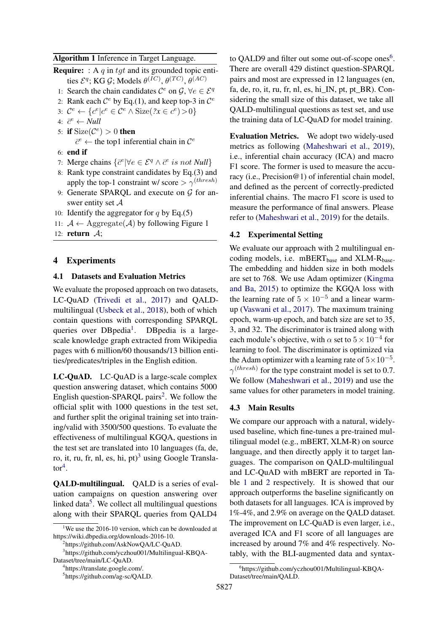<span id="page-5-0"></span>

| Algorithm 1 Inference in Target Language. |  |  |
|-------------------------------------------|--|--|
|-------------------------------------------|--|--|

- **Require:** : A q in tgt and its grounded topic entities  $\mathcal{E}^q$ ; KG  $\mathcal{G}$ ; Models  $\theta^{(IC)},$   $\theta^{(TC)},$   $\theta^{(AC)}$ 
	- 1: Search the chain candidates  $C^e$  on  $\mathcal{G}, \forall e \in \mathcal{E}^q$
	- 2: Rank each  $\mathcal{C}^e$  by Eq.(1), and keep top-3 in  $\mathcal{C}^e$
	- 3:  $\mathcal{C}^e \leftarrow \{c^e | c^e \in \mathcal{C}^e \land \text{Size}(2x \in c^e) > 0\}$
	- 4:  $\bar{c}^e \leftarrow \textit{Null}$
	- 5: if  $Size(\mathcal{C}^e) > 0$  then
		- $\bar{c}^e \leftarrow$  the top1 inferential chain in  $\mathcal{C}^e$
	- 6: end if
	- 7: Merge chains  $\{\bar{c}^e | \forall e \in \mathcal{E}^q \land \bar{c}^e \text{ is not Null}\}$
- 8: Rank type constraint candidates by Eq.(3) and apply the top-1 constraint w/ score  $> \gamma^{(thresh)}$
- 9: Generate SPARQL and execute on  $G$  for answer entity set  $A$
- 10: Identify the aggregator for q by Eq.(5)
- 11:  $A \leftarrow \text{Aggregate}(\mathcal{A})$  by following Figure 1
- 12: return  $\mathcal{A}$ ;

## 4 Experiments

## 4.1 Datasets and Evaluation Metrics

We evaluate the proposed approach on two datasets, LC-QuAD [\(Trivedi et al.,](#page-11-8) [2017\)](#page-11-8) and QALDmultilingual [\(Usbeck et al.,](#page-11-9) [2018\)](#page-11-9), both of which contain questions with corresponding SPARQL queries over DBpedia<sup>[1](#page-5-1)</sup>. DBpedia is a largescale knowledge graph extracted from Wikipedia pages with 6 million/60 thousands/13 billion entities/predicates/triples in the English edition.

LC-QuAD. LC-QuAD is a large-scale complex question answering dataset, which contains 5000 English question-SPARQL pairs<sup>[2](#page-5-2)</sup>. We follow the official split with 1000 questions in the test set, and further split the original training set into training/valid with 3500/500 questions. To evaluate the effectiveness of multilingual KGQA, questions in the test set are translated into 10 languages (fa, de, ro, it, ru, fr, nl, es, hi, pt $^{3}$  $^{3}$  $^{3}$  using Google Transla- $\text{tor}^4$  $\text{tor}^4$ .

QALD-multilingual. QALD is a series of evaluation campaigns on question answering over linked data<sup>[5](#page-5-5)</sup>. We collect all multilingual questions along with their SPARQL queries from QALD4

to QALD9 and filter out some out-of-scope ones $6$ . There are overall 429 distinct question-SPARQL pairs and most are expressed in 12 languages (en, fa, de, ro, it, ru, fr, nl, es, hi $IN$ , pt, pt  $BR$ ). Considering the small size of this dataset, we take all QALD-multilingual questions as test set, and use the training data of LC-QuAD for model training.

Evaluation Metrics. We adopt two widely-used metrics as following [\(Maheshwari et al.,](#page-11-6) [2019\)](#page-11-6), i.e., inferential chain accuracy (ICA) and macro F1 score. The former is used to measure the accuracy (i.e., Precision@1) of inferential chain model, and defined as the percent of correctly-predicted inferential chains. The macro F1 score is used to measure the performance of final answers. Please refer to [\(Maheshwari et al.,](#page-11-6) [2019\)](#page-11-6) for the details.

#### 4.2 Experimental Setting

We evaluate our approach with 2 multilingual encoding models, i.e. mBERT<sub>base</sub> and XLM-R<sub>base</sub>. The embedding and hidden size in both models are set to 768. We use Adam optimizer [\(Kingma](#page-11-10) [and Ba,](#page-11-10) [2015\)](#page-11-10) to optimize the KGQA loss with the learning rate of  $5 \times 10^{-5}$  and a linear warmup [\(Vaswani et al.,](#page-12-0) [2017\)](#page-12-0). The maximum training epoch, warm-up epoch, and batch size are set to 35, 3, and 32. The discriminator is trained along with each module's objective, with  $\alpha$  set to  $5 \times 10^{-4}$  for learning to fool. The discriminator is optimized via the Adam optimizer with a learning rate of  $5 \times 10^{-5}$ .  $\gamma^{(thresh)}$  for the type constraint model is set to 0.7. We follow [\(Maheshwari et al.,](#page-11-6) [2019\)](#page-11-6) and use the same values for other parameters in model training.

#### 4.3 Main Results

We compare our approach with a natural, widelyused baseline, which fine-tunes a pre-trained multilingual model (e.g., mBERT, XLM-R) on source language, and then directly apply it to target languages. The comparison on QALD-multilingual and LC-QuAD with mBERT are reported in Table [1](#page-6-0) and [2](#page-6-1) respectively. It is showed that our approach outperforms the baseline significantly on both datasets for all languages. ICA is improved by 1%-4%, and 2.9% on average on the QALD dataset. The improvement on LC-QuAD is even larger, i.e., averaged ICA and F1 score of all languages are increased by around 7% and 4% respectively. Notably, with the BLI-augmented data and syntax-

<span id="page-5-1"></span><sup>&</sup>lt;sup>1</sup>We use the 2016-10 version, which can be downloaded at https://wiki.dbpedia.org/downloads-2016-10.

<span id="page-5-3"></span><span id="page-5-2"></span><sup>&</sup>lt;sup>2</sup>https://github.com/AskNowQA/LC-QuAD.

<sup>3</sup> https://github.com/yczhou001/Multilingual-KBQA-Dataset/tree/main/LC-QuAD.

<span id="page-5-4"></span><sup>4</sup> https://translate.google.com/.

<span id="page-5-5"></span><sup>5</sup> https://github.com/ag-sc/QALD.

<span id="page-5-6"></span><sup>6</sup> https://github.com/yczhou001/Multilingual-KBQA-Dataset/tree/main/QALD.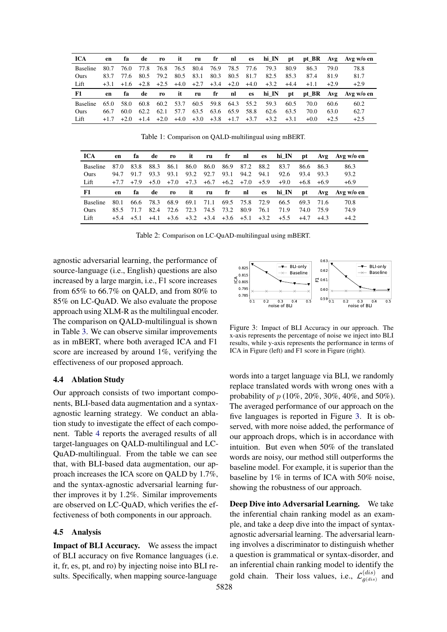<span id="page-6-0"></span>

| <b>ICA</b>      | en     | fа     | de     | ro.    | it     | ru     | fr     | nl     | es     | hi IN  | pt     |        |        | pt BR Avg Avg w/o en |
|-----------------|--------|--------|--------|--------|--------|--------|--------|--------|--------|--------|--------|--------|--------|----------------------|
| <b>Baseline</b> | 80.7   | 76.0   | 77.8   | 76.8   | 76.5   | 80.4   | 76.9   | 78.5   | 77.6   | 79.3   | 80.9   | 86.3   | 79.O   | 78.8                 |
| Ours            | 83.7   | 77.6   | 80.5   | 79.2   | 80.5   | 83.1   | 80.3   | 80.5   | 81.7   | 82.5   | 85.3   | 87.4   | 81.9   | 81.7                 |
| Lift            | $+3.1$ | $+1.6$ | $+2.8$ | $+2.5$ | $+4.0$ | $+2.7$ | $+3.4$ | $+2.0$ | $+4.0$ | $+3.2$ | $+4.4$ | $+1.1$ | $+2.9$ | $+2.9$               |
|                 |        |        |        |        |        |        |        |        |        |        |        |        |        |                      |
| F1              | en     | fа     | de     | ro.    | it     | ru     | fr     | nl     | es     | hi IN  | pt     |        |        | pt BR Avg Avg w/o en |
| <b>Baseline</b> | 65.0   | 58.0   | 60.8   | 60.2   | 53.7   | 60.5   | 59.8   | 64.3   | 55.2   | 59.3   | 60.5   | 70.0   | 60.6   | 60.2                 |
| Ours            | 66.7   | 60.0   | 62.2   | 62.1   | 57.7   | 63.5   | 63.6   | 65.9   | 58.8   | 62.6   | 63.5   | 70.0   | 63.0   | 62.7                 |

Table 1: Comparison on QALD-multilingual using mBERT.

<span id="page-6-1"></span>

| <b>ICA</b>      | en     | fа     | de     | r0     | it     | ru     | fr   | nl            | es        | hi IN  | pt     | Avg    | Avg w/o en |
|-----------------|--------|--------|--------|--------|--------|--------|------|---------------|-----------|--------|--------|--------|------------|
| <b>Baseline</b> | 87.0   | 83.8   | 88.3   | 86.1   | 86.0   | 86.0   | 86.9 | 87.2          | 88.2      | 83.7   | 86.6   | 86.3   | 86.3       |
| Ours            | 94.7   | 91.7   | 93.3   | 93.1   | 93.2   | 92.7   | 93.1 | 94.2          | 94.1      | 92.6   | 93.4   | 93.3   | 93.2       |
| Lift            | $+7.7$ | $+7.9$ | $+5.0$ | $+7.0$ | $+7.3$ | $+6.7$ |      | $+6.2$ $+7.0$ | $+5.9$    | $+9.0$ | $+6.8$ | $+6.9$ | $+6.9$     |
|                 |        |        |        |        |        |        |      |               |           |        |        |        |            |
| F1              | en     | fа     | de     | r0     | it     | ru     | fr   | nl            | <b>es</b> | hi IN  | pt     | Avg    | Avg w/o en |
| <b>Baseline</b> | 80.1   | 66.6   | 78.3   | 68.9   | 69.1   | 71.1   | 69.5 | 75.8          | 72.9      | 66.5   | 69.3   | 71.6   | 70.8       |
| Ours            | 85.5   | 71.7   | 82.4   | 72.6   | 72.3   | 74.5   | 73.2 | 80.9          | 76.1      | 71.9   | 74.0   | 75.9   | 74.9       |

Table 2: Comparison on LC-QuAD-multilingual using mBERT.

agnostic adversarial learning, the performance of source-language (i.e., English) questions are also increased by a large margin, i.e., F1 score increases from 65% to 66.7% on QALD, and from 80% to 85% on LC-QuAD. We also evaluate the propose approach using XLM-R as the multilingual encoder. The comparison on QALD-multilingual is shown in Table [3.](#page-7-0) We can observe similar improvements as in mBERT, where both averaged ICA and F1 score are increased by around 1%, verifying the effectiveness of our proposed approach.

#### 4.4 Ablation Study

Our approach consists of two important components, BLI-based data augmentation and a syntaxagnostic learning strategy. We conduct an ablation study to investigate the effect of each component. Table [4](#page-7-1) reports the averaged results of all target-languages on QALD-multilingual and LC-QuAD-multilingual. From the table we can see that, with BLI-based data augmentation, our approach increases the ICA score on QALD by 1.7%, and the syntax-agnostic adversarial learning further improves it by 1.2%. Similar improvements are observed on LC-QuAD, which verifies the effectiveness of both components in our approach.

#### 4.5 Analysis

Impact of BLI Accuracy. We assess the impact of BLI accuracy on five Romance languages (i.e. it, fr, es, pt, and ro) by injecting noise into BLI results. Specifically, when mapping source-language

<span id="page-6-2"></span>

Figure 3: Impact of BLI Accuracy in our approach. The x-axis represents the percentage of noise we inject into BLI results, while y-axis represents the performance in terms of ICA in Figure (left) and F1 score in Figure (right).

words into a target language via BLI, we randomly replace translated words with wrong ones with a probability of p (10%, 20%, 30%, 40%, and 50%). The averaged performance of our approach on the five languages is reported in Figure [3.](#page-6-2) It is observed, with more noise added, the performance of our approach drops, which is in accordance with intuition. But even when 50% of the translated words are noisy, our method still outperforms the baseline model. For example, it is superior than the baseline by 1% in terms of ICA with 50% noise, showing the robustness of our approach.

Deep Dive into Adversarial Learning. We take the inferential chain ranking model as an example, and take a deep dive into the impact of syntaxagnostic adversarial learning. The adversarial learning involves a discriminator to distinguish whether a question is grammatical or syntax-disorder, and an inferential chain ranking model to identify the gold chain. Their loss values, i.e.,  $\mathcal{L}_{a(dis)}^{(dis)}$  $\frac{u^{(dis)}}{\theta^{(dis)}}$  and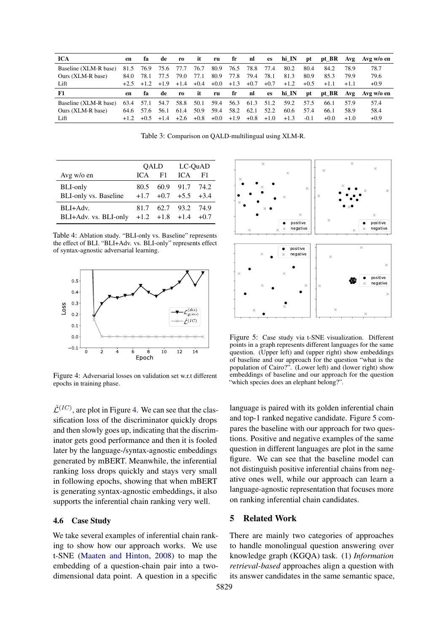<span id="page-7-0"></span>

| <b>ICA</b>            | en   | ťа      | de     | ro     | it     | ru     | fr     | nl     | es     | hi IN  | pt     | pt BR  | Avg    | Avg w/o en |
|-----------------------|------|---------|--------|--------|--------|--------|--------|--------|--------|--------|--------|--------|--------|------------|
| Baseline (XLM-R base) | 81.5 | 76.9    | 75.6   | 77.7   | 76.7   | 80.9   | 76.5   | 78.8   | 77.4   | 80.2   | 80.4   | 84.2   | 78.9   | 78.7       |
| Ours (XLM-R base)     | 84.0 | 78.1    | 77.5   | 79.0   | 77.1   | 80.9   | 77.8   | 79.4   | 78.1   | 81.3   | 80.9   | 85.3   | 79.9   | 79.6       |
| Lift                  |      | $+1.2.$ | $+1.9$ | $+1.4$ | $+0.4$ | $+0.0$ | $+1.3$ | $+0.7$ | $+0.7$ | $+1.2$ | $+0.5$ | $+1.1$ | $+1.1$ | $+0.9$     |
|                       |      |         |        |        |        |        |        |        |        |        |        |        |        |            |
| F1                    | en   | ťа      | de     | ro.    | it     | ru     | fr     | nl     | es     | hi IN  | pt     | pt_BR  | Avg    | Avg w/o en |
| Baseline (XLM-R base) | 63.4 | 57.1    | 54.7   | 58.8   | 50.1   | 59.4   | 56.3   | 61.3   | 51.2   | 59.2   | 57.5   | 66.1   | 57.9   | 57.4       |
| Ours (XLM-R base)     | 64.6 | 57.6    | 56.1   | 61.4   | 50.9   | 59.4   | 58.2   | 62.1   | 52.2   | 60.6   | 57.4   | 66.1   | 58.9   | 58.4       |

Table 3: Comparison on QALD-multilingual using XLM-R.

<span id="page-7-1"></span>

|                                                                 |     | QALD | LC-QuAD                                            |    |
|-----------------------------------------------------------------|-----|------|----------------------------------------------------|----|
| Avg w/o en                                                      | ICA | - F1 | ICA.                                               | F1 |
| <b>BLI-only</b><br><b>BLI-only vs. Baseline</b>                 |     |      | 80.5 60.9 91.7 74.2<br>$+1.7$ $+0.7$ $+5.5$ $+3.4$ |    |
| $BLI+Adv.$<br>BLI+Adv. vs. BLI-only $+1.2$ $+1.8$ $+1.4$ $+0.7$ |     |      | 81.7 62.7 93.2 74.9                                |    |

Table 4: Ablation study. "BLI-only vs. Baseline" represents the effect of BLI. "BLI+Adv. vs. BLI-only" represents effect of syntax-agnostic adversarial learning.

<span id="page-7-2"></span>

Figure 4: Adversarial losses on validation set w.r.t different epochs in training phase.

 $\hat{\mathcal{L}}^{(IC)}$ , are plot in Figure [4.](#page-7-2) We can see that the classification loss of the discriminator quickly drops and then slowly goes up, indicating that the discriminator gets good performance and then it is fooled later by the language-/syntax-agnostic embeddings generated by mBERT. Meanwhile, the inferential ranking loss drops quickly and stays very small in following epochs, showing that when mBERT is generating syntax-agnostic embeddings, it also supports the inferential chain ranking very well.

# 4.6 Case Study

We take several examples of inferential chain ranking to show how our approach works. We use t-SNE [\(Maaten and Hinton,](#page-11-11) [2008\)](#page-11-11) to map the embedding of a question-chain pair into a twodimensional data point. A question in a specific

<span id="page-7-3"></span>

Figure 5: Case study via t-SNE visualization. Different points in a graph represents different languages for the same question. (Upper left) and (upper right) show embeddings of baseline and our approach for the question "what is the population of Cairo?". (Lower left) and (lower right) show embeddings of baseline and our approach for the question "which species does an elephant belong?".

language is paired with its golden inferential chain and top-1 ranked negative candidate. Figure [5](#page-7-3) compares the baseline with our approach for two questions. Positive and negative examples of the same question in different languages are plot in the same figure. We can see that the baseline model can not distinguish positive inferential chains from negative ones well, while our approach can learn a language-agnostic representation that focuses more on ranking inferential chain candidates.

# 5 Related Work

There are mainly two categories of approaches to handle monolingual question answering over knowledge graph (KGQA) task. (1) *Information retrieval-based* approaches align a question with its answer candidates in the same semantic space,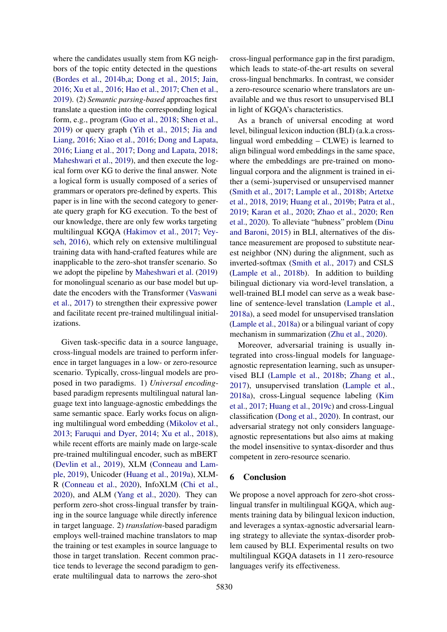where the candidates usually stem from KG neighbors of the topic entity detected in the questions [\(Bordes et al.,](#page-9-8) [2014b](#page-9-8)[,a;](#page-9-9) [Dong et al.,](#page-10-3) [2015;](#page-10-3) [Jain,](#page-10-4) [2016;](#page-10-4) [Xu et al.,](#page-12-2) [2016;](#page-12-2) [Hao et al.,](#page-10-5) [2017;](#page-10-5) [Chen et al.,](#page-9-7) [2019\)](#page-9-7). (2) *Semantic parsing-based* approaches first translate a question into the corresponding logical form, e.g., program [\(Guo et al.,](#page-10-6) [2018;](#page-10-6) [Shen et al.,](#page-11-1) [2019\)](#page-11-1) or query graph [\(Yih et al.,](#page-12-1) [2015;](#page-12-1) [Jia and](#page-10-7) [Liang,](#page-10-7) [2016;](#page-10-7) [Xiao et al.,](#page-12-3) [2016;](#page-12-3) [Dong and Lapata,](#page-9-10) [2016;](#page-9-10) [Liang et al.,](#page-11-0) [2017;](#page-11-0) [Dong and Lapata,](#page-9-11) [2018;](#page-9-11) [Maheshwari et al.,](#page-11-6) [2019\)](#page-11-6), and then execute the logical form over KG to derive the final answer. Note a logical form is usually composed of a series of grammars or operators pre-defined by experts. This paper is in line with the second category to generate query graph for KG execution. To the best of our knowledge, there are only few works targeting multilingual KGQA [\(Hakimov et al.,](#page-10-8) [2017;](#page-10-8) [Vey](#page-12-4)[seh,](#page-12-4) [2016\)](#page-12-4), which rely on extensive multilingual training data with hand-crafted features while are inapplicable to the zero-shot transfer scenario. So we adopt the pipeline by [Maheshwari et al.](#page-11-6) [\(2019\)](#page-11-6) for monolingual scenario as our base model but update the encoders with the Transformer [\(Vaswani](#page-12-0) [et al.,](#page-12-0) [2017\)](#page-12-0) to strengthen their expressive power and facilitate recent pre-trained multilingual initializations.

Given task-specific data in a source language, cross-lingual models are trained to perform inference in target languages in a low- or zero-resource scenario. Typically, cross-lingual models are proposed in two paradigms. 1) *Universal encoding*based paradigm represents multilingual natural language text into language-agnostic embeddings the same semantic space. Early works focus on aligning multilingual word embedding [\(Mikolov et al.,](#page-11-12) [2013;](#page-11-12) [Faruqui and Dyer,](#page-10-9) [2014;](#page-10-9) [Xu et al.,](#page-12-5) [2018\)](#page-12-5), while recent efforts are mainly made on large-scale pre-trained multilingual encoder, such as mBERT [\(Devlin et al.,](#page-9-2) [2019\)](#page-9-2), XLM [\(Conneau and Lam](#page-9-12)[ple,](#page-9-12) [2019\)](#page-9-12), Unicoder [\(Huang et al.,](#page-10-10) [2019a\)](#page-10-10), XLM-R [\(Conneau et al.,](#page-9-3) [2020\)](#page-9-3), InfoXLM [\(Chi et al.,](#page-9-13) [2020\)](#page-9-13), and ALM [\(Yang et al.,](#page-12-6) [2020\)](#page-12-6). They can perform zero-shot cross-lingual transfer by training in the source language while directly inference in target language. 2) *translation*-based paradigm employs well-trained machine translators to map the training or test examples in source language to those in target translation. Recent common practice tends to leverage the second paradigm to generate multilingual data to narrows the zero-shot

cross-lingual performance gap in the first paradigm, which leads to state-of-the-art results on several cross-lingual benchmarks. In contrast, we consider a zero-resource scenario where translators are unavailable and we thus resort to unsupervised BLI in light of KGQA's characteristics.

As a branch of universal encoding at word level, bilingual lexicon induction (BLI) (a.k.a crosslingual word embedding – CLWE) is learned to align bilingual word embeddings in the same space, where the embeddings are pre-trained on monolingual corpora and the alignment is trained in either a (semi-)supervised or unsupervised manner [\(Smith et al.,](#page-11-13) [2017;](#page-11-13) [Lample et al.,](#page-11-5) [2018b;](#page-11-5) [Artetxe](#page-9-5) [et al.,](#page-9-5) [2018,](#page-9-5) [2019;](#page-9-14) [Huang et al.,](#page-10-11) [2019b;](#page-10-11) [Patra et al.,](#page-11-14) [2019;](#page-11-14) [Karan et al.,](#page-10-12) [2020;](#page-10-12) [Zhao et al.,](#page-12-7) [2020;](#page-12-7) [Ren](#page-11-15) [et al.,](#page-11-15) [2020\)](#page-11-15). To alleviate "hubness" problem [\(Dinu](#page-9-15) [and Baroni,](#page-9-15) [2015\)](#page-9-15) in BLI, alternatives of the distance measurement are proposed to substitute nearest neighbor (NN) during the alignment, such as inverted-softmax [\(Smith et al.,](#page-11-13) [2017\)](#page-11-13) and CSLS [\(Lample et al.,](#page-11-5) [2018b\)](#page-11-5). In addition to building bilingual dictionary via word-level translation, a well-trained BLI model can serve as a weak baseline of sentence-level translation [\(Lample et al.,](#page-11-16) [2018a\)](#page-11-16), a seed model for unsupervised translation [\(Lample et al.,](#page-11-16) [2018a\)](#page-11-16) or a bilingual variant of copy mechanism in summarization [\(Zhu et al.,](#page-12-8) [2020\)](#page-12-8).

Moreover, adversarial training is usually integrated into cross-lingual models for languageagnostic representation learning, such as unsupervised BLI [\(Lample et al.,](#page-11-5) [2018b;](#page-11-5) [Zhang et al.,](#page-12-9) [2017\)](#page-12-9), unsupervised translation [\(Lample et al.,](#page-11-16) [2018a\)](#page-11-16), cross-Lingual sequence labeling [\(Kim](#page-10-13) [et al.,](#page-10-13) [2017;](#page-10-13) [Huang et al.,](#page-10-14) [2019c\)](#page-10-14) and cross-Lingual classification [\(Dong et al.,](#page-10-15) [2020\)](#page-10-15). In contrast, our adversarial strategy not only considers languageagnostic representations but also aims at making the model insensitive to syntax-disorder and thus competent in zero-resource scenario.

#### 6 Conclusion

We propose a novel approach for zero-shot crosslingual transfer in multilingual KGQA, which augments training data by bilingual lexicon induction, and leverages a syntax-agnostic adversarial learning strategy to alleviate the syntax-disorder problem caused by BLI. Experimental results on two multilingual KGQA datasets in 11 zero-resource languages verify its effectiveness.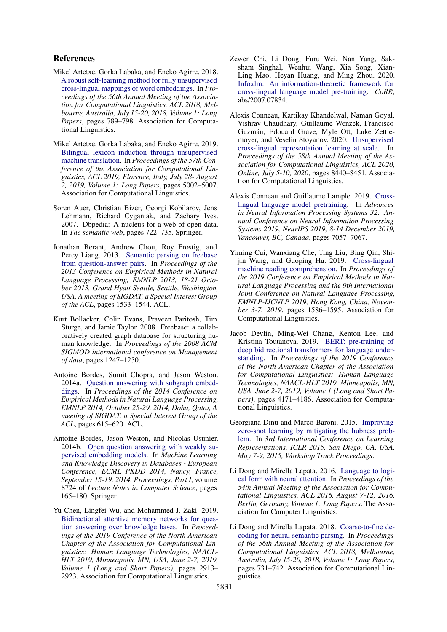# References

- <span id="page-9-5"></span>Mikel Artetxe, Gorka Labaka, and Eneko Agirre. 2018. [A robust self-learning method for fully unsupervised](https://www.aclweb.org/anthology/P18-1073/) [cross-lingual mappings of word embeddings.](https://www.aclweb.org/anthology/P18-1073/) In *Proceedings of the 56th Annual Meeting of the Association for Computational Linguistics, ACL 2018, Melbourne, Australia, July 15-20, 2018, Volume 1: Long Papers*, pages 789–798. Association for Computational Linguistics.
- <span id="page-9-14"></span>Mikel Artetxe, Gorka Labaka, and Eneko Agirre. 2019. [Bilingual lexicon induction through unsupervised](https://doi.org/10.18653/v1/p19-1494) [machine translation.](https://doi.org/10.18653/v1/p19-1494) In *Proceedings of the 57th Conference of the Association for Computational Linguistics, ACL 2019, Florence, Italy, July 28- August 2, 2019, Volume 1: Long Papers*, pages 5002–5007. Association for Computational Linguistics.
- <span id="page-9-0"></span>Sören Auer, Christian Bizer, Georgi Kobilarov, Jens Lehmann, Richard Cyganiak, and Zachary Ives. 2007. Dbpedia: A nucleus for a web of open data. In *The semantic web*, pages 722–735. Springer.
- <span id="page-9-6"></span>Jonathan Berant, Andrew Chou, Roy Frostig, and Percy Liang. 2013. [Semantic parsing on freebase](https://www.aclweb.org/anthology/D13-1160/) [from question-answer pairs.](https://www.aclweb.org/anthology/D13-1160/) In *Proceedings of the 2013 Conference on Empirical Methods in Natural Language Processing, EMNLP 2013, 18-21 October 2013, Grand Hyatt Seattle, Seattle, Washington, USA, A meeting of SIGDAT, a Special Interest Group of the ACL*, pages 1533–1544. ACL.
- <span id="page-9-1"></span>Kurt Bollacker, Colin Evans, Praveen Paritosh, Tim Sturge, and Jamie Taylor. 2008. Freebase: a collaboratively created graph database for structuring human knowledge. In *Proceedings of the 2008 ACM SIGMOD international conference on Management of data*, pages 1247–1250.
- <span id="page-9-9"></span>Antoine Bordes, Sumit Chopra, and Jason Weston. 2014a. [Question answering with subgraph embed](https://doi.org/10.3115/v1/d14-1067)[dings.](https://doi.org/10.3115/v1/d14-1067) In *Proceedings of the 2014 Conference on Empirical Methods in Natural Language Processing, EMNLP 2014, October 25-29, 2014, Doha, Qatar, A meeting of SIGDAT, a Special Interest Group of the ACL*, pages 615–620. ACL.
- <span id="page-9-8"></span>Antoine Bordes, Jason Weston, and Nicolas Usunier. 2014b. [Open question answering with weakly su](https://doi.org/10.1007/978-3-662-44848-9_11)[pervised embedding models.](https://doi.org/10.1007/978-3-662-44848-9_11) In *Machine Learning and Knowledge Discovery in Databases - European Conference, ECML PKDD 2014, Nancy, France, September 15-19, 2014. Proceedings, Part I*, volume 8724 of *Lecture Notes in Computer Science*, pages 165–180. Springer.
- <span id="page-9-7"></span>Yu Chen, Lingfei Wu, and Mohammed J. Zaki. 2019. [Bidirectional attentive memory networks for ques](https://doi.org/10.18653/v1/n19-1299)[tion answering over knowledge bases.](https://doi.org/10.18653/v1/n19-1299) In *Proceedings of the 2019 Conference of the North American Chapter of the Association for Computational Linguistics: Human Language Technologies, NAACL-HLT 2019, Minneapolis, MN, USA, June 2-7, 2019, Volume 1 (Long and Short Papers)*, pages 2913– 2923. Association for Computational Linguistics.
- <span id="page-9-13"></span>Zewen Chi, Li Dong, Furu Wei, Nan Yang, Saksham Singhal, Wenhui Wang, Xia Song, Xian-Ling Mao, Heyan Huang, and Ming Zhou. 2020. [Infoxlm: An information-theoretic framework for](http://arxiv.org/abs/2007.07834) [cross-lingual language model pre-training.](http://arxiv.org/abs/2007.07834) *CoRR*, abs/2007.07834.
- <span id="page-9-3"></span>Alexis Conneau, Kartikay Khandelwal, Naman Goyal, Vishrav Chaudhary, Guillaume Wenzek, Francisco Guzmán, Edouard Grave, Myle Ott, Luke Zettlemoyer, and Veselin Stoyanov. 2020. [Unsupervised](https://www.aclweb.org/anthology/2020.acl-main.747/) [cross-lingual representation learning at scale.](https://www.aclweb.org/anthology/2020.acl-main.747/) In *Proceedings of the 58th Annual Meeting of the Association for Computational Linguistics, ACL 2020, Online, July 5-10, 2020*, pages 8440–8451. Association for Computational Linguistics.
- <span id="page-9-12"></span>Alexis Conneau and Guillaume Lample. 2019. [Cross](http://papers.nips.cc/paper/8928-cross-lingual-language-model-pretraining)[lingual language model pretraining.](http://papers.nips.cc/paper/8928-cross-lingual-language-model-pretraining) In *Advances in Neural Information Processing Systems 32: Annual Conference on Neural Information Processing Systems 2019, NeurIPS 2019, 8-14 December 2019, Vancouver, BC, Canada*, pages 7057–7067.
- <span id="page-9-4"></span>Yiming Cui, Wanxiang Che, Ting Liu, Bing Qin, Shijin Wang, and Guoping Hu. 2019. [Cross-lingual](https://doi.org/10.18653/v1/D19-1169) [machine reading comprehension.](https://doi.org/10.18653/v1/D19-1169) In *Proceedings of the 2019 Conference on Empirical Methods in Natural Language Processing and the 9th International Joint Conference on Natural Language Processing, EMNLP-IJCNLP 2019, Hong Kong, China, November 3-7, 2019*, pages 1586–1595. Association for Computational Linguistics.
- <span id="page-9-2"></span>Jacob Devlin, Ming-Wei Chang, Kenton Lee, and Kristina Toutanova. 2019. [BERT: pre-training of](https://doi.org/10.18653/v1/n19-1423) [deep bidirectional transformers for language under](https://doi.org/10.18653/v1/n19-1423)[standing.](https://doi.org/10.18653/v1/n19-1423) In *Proceedings of the 2019 Conference of the North American Chapter of the Association for Computational Linguistics: Human Language Technologies, NAACL-HLT 2019, Minneapolis, MN, USA, June 2-7, 2019, Volume 1 (Long and Short Papers)*, pages 4171–4186. Association for Computational Linguistics.
- <span id="page-9-15"></span>Georgiana Dinu and Marco Baroni. 2015. [Improving](http://arxiv.org/abs/1412.6568) [zero-shot learning by mitigating the hubness prob](http://arxiv.org/abs/1412.6568)[lem.](http://arxiv.org/abs/1412.6568) In *3rd International Conference on Learning Representations, ICLR 2015, San Diego, CA, USA, May 7-9, 2015, Workshop Track Proceedings*.
- <span id="page-9-10"></span>Li Dong and Mirella Lapata. 2016. [Language to logi](https://doi.org/10.18653/v1/p16-1004)[cal form with neural attention.](https://doi.org/10.18653/v1/p16-1004) In *Proceedings of the 54th Annual Meeting of the Association for Computational Linguistics, ACL 2016, August 7-12, 2016, Berlin, Germany, Volume 1: Long Papers*. The Association for Computer Linguistics.
- <span id="page-9-11"></span>Li Dong and Mirella Lapata. 2018. [Coarse-to-fine de](https://www.aclweb.org/anthology/P18-1068/)[coding for neural semantic parsing.](https://www.aclweb.org/anthology/P18-1068/) In *Proceedings of the 56th Annual Meeting of the Association for Computational Linguistics, ACL 2018, Melbourne, Australia, July 15-20, 2018, Volume 1: Long Papers*, pages 731–742. Association for Computational Linguistics.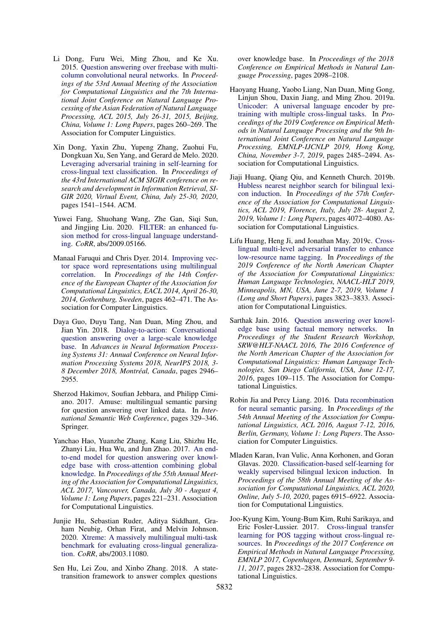- <span id="page-10-3"></span>Li Dong, Furu Wei, Ming Zhou, and Ke Xu. 2015. [Question answering over freebase with multi](https://doi.org/10.3115/v1/p15-1026)[column convolutional neural networks.](https://doi.org/10.3115/v1/p15-1026) In *Proceedings of the 53rd Annual Meeting of the Association for Computational Linguistics and the 7th International Joint Conference on Natural Language Processing of the Asian Federation of Natural Language Processing, ACL 2015, July 26-31, 2015, Beijing, China, Volume 1: Long Papers*, pages 260–269. The Association for Computer Linguistics.
- <span id="page-10-15"></span>Xin Dong, Yaxin Zhu, Yupeng Zhang, Zuohui Fu, Dongkuan Xu, Sen Yang, and Gerard de Melo. 2020. [Leveraging adversarial training in self-learning for](https://doi.org/10.1145/3397271.3401209) [cross-lingual text classification.](https://doi.org/10.1145/3397271.3401209) In *Proceedings of the 43rd International ACM SIGIR conference on research and development in Information Retrieval, SI-GIR 2020, Virtual Event, China, July 25-30, 2020*, pages 1541–1544. ACM.
- <span id="page-10-2"></span>Yuwei Fang, Shuohang Wang, Zhe Gan, Siqi Sun, and Jingjing Liu. 2020. [FILTER: an enhanced fu](http://arxiv.org/abs/2009.05166)[sion method for cross-lingual language understand](http://arxiv.org/abs/2009.05166)[ing.](http://arxiv.org/abs/2009.05166) *CoRR*, abs/2009.05166.
- <span id="page-10-9"></span>Manaal Faruqui and Chris Dyer. 2014. [Improving vec](https://doi.org/10.3115/v1/e14-1049)[tor space word representations using multilingual](https://doi.org/10.3115/v1/e14-1049) [correlation.](https://doi.org/10.3115/v1/e14-1049) In *Proceedings of the 14th Conference of the European Chapter of the Association for Computational Linguistics, EACL 2014, April 26-30, 2014, Gothenburg, Sweden*, pages 462–471. The Association for Computer Linguistics.
- <span id="page-10-6"></span>Daya Guo, Duyu Tang, Nan Duan, Ming Zhou, and Jian Yin. 2018. [Dialog-to-action: Conversational](http://papers.nips.cc/paper/7558-dialog-to-action-conversational-question-answering-over-a-large-scale-knowledge-base) [question answering over a large-scale knowledge](http://papers.nips.cc/paper/7558-dialog-to-action-conversational-question-answering-over-a-large-scale-knowledge-base) [base.](http://papers.nips.cc/paper/7558-dialog-to-action-conversational-question-answering-over-a-large-scale-knowledge-base) In *Advances in Neural Information Processing Systems 31: Annual Conference on Neural Information Processing Systems 2018, NeurIPS 2018, 3- 8 December 2018, Montréal, Canada*, pages 2946– 2955.
- <span id="page-10-8"></span>Sherzod Hakimov, Soufian Jebbara, and Philipp Cimiano. 2017. Amuse: multilingual semantic parsing for question answering over linked data. In *International Semantic Web Conference*, pages 329–346. Springer.
- <span id="page-10-5"></span>Yanchao Hao, Yuanzhe Zhang, Kang Liu, Shizhu He, Zhanyi Liu, Hua Wu, and Jun Zhao. 2017. [An end](https://doi.org/10.18653/v1/P17-1021)[to-end model for question answering over knowl](https://doi.org/10.18653/v1/P17-1021)[edge base with cross-attention combining global](https://doi.org/10.18653/v1/P17-1021) [knowledge.](https://doi.org/10.18653/v1/P17-1021) In *Proceedings of the 55th Annual Meeting of the Association for Computational Linguistics, ACL 2017, Vancouver, Canada, July 30 - August 4, Volume 1: Long Papers*, pages 221–231. Association for Computational Linguistics.
- <span id="page-10-1"></span>Junjie Hu, Sebastian Ruder, Aditya Siddhant, Graham Neubig, Orhan Firat, and Melvin Johnson. 2020. [Xtreme: A massively multilingual multi-task](http://arxiv.org/abs/2003.11080) [benchmark for evaluating cross-lingual generaliza](http://arxiv.org/abs/2003.11080)[tion.](http://arxiv.org/abs/2003.11080) *CoRR*, abs/2003.11080.
- <span id="page-10-0"></span>Sen Hu, Lei Zou, and Xinbo Zhang. 2018. A statetransition framework to answer complex questions

over knowledge base. In *Proceedings of the 2018 Conference on Empirical Methods in Natural Language Processing*, pages 2098–2108.

- <span id="page-10-10"></span>Haoyang Huang, Yaobo Liang, Nan Duan, Ming Gong, Linjun Shou, Daxin Jiang, and Ming Zhou. 2019a. [Unicoder: A universal language encoder by pre](https://doi.org/10.18653/v1/D19-1252)[training with multiple cross-lingual tasks.](https://doi.org/10.18653/v1/D19-1252) In *Proceedings of the 2019 Conference on Empirical Methods in Natural Language Processing and the 9th International Joint Conference on Natural Language Processing, EMNLP-IJCNLP 2019, Hong Kong, China, November 3-7, 2019*, pages 2485–2494. Association for Computational Linguistics.
- <span id="page-10-11"></span>Jiaji Huang, Qiang Qiu, and Kenneth Church. 2019b. [Hubless nearest neighbor search for bilingual lexi](https://doi.org/10.18653/v1/p19-1399)[con induction.](https://doi.org/10.18653/v1/p19-1399) In *Proceedings of the 57th Conference of the Association for Computational Linguistics, ACL 2019, Florence, Italy, July 28- August 2, 2019, Volume 1: Long Papers*, pages 4072–4080. Association for Computational Linguistics.
- <span id="page-10-14"></span>Lifu Huang, Heng Ji, and Jonathan May. 2019c. [Cross](https://doi.org/10.18653/v1/n19-1383)[lingual multi-level adversarial transfer to enhance](https://doi.org/10.18653/v1/n19-1383) [low-resource name tagging.](https://doi.org/10.18653/v1/n19-1383) In *Proceedings of the 2019 Conference of the North American Chapter of the Association for Computational Linguistics: Human Language Technologies, NAACL-HLT 2019, Minneapolis, MN, USA, June 2-7, 2019, Volume 1 (Long and Short Papers)*, pages 3823–3833. Association for Computational Linguistics.
- <span id="page-10-4"></span>Sarthak Jain. 2016. [Question answering over knowl](https://doi.org/10.18653/v1/n16-2016)[edge base using factual memory networks.](https://doi.org/10.18653/v1/n16-2016) In *Proceedings of the Student Research Workshop, SRW@HLT-NAACL 2016, The 2016 Conference of the North American Chapter of the Association for Computational Linguistics: Human Language Technologies, San Diego California, USA, June 12-17, 2016*, pages 109–115. The Association for Computational Linguistics.
- <span id="page-10-7"></span>Robin Jia and Percy Liang. 2016. [Data recombination](https://doi.org/10.18653/v1/p16-1002) [for neural semantic parsing.](https://doi.org/10.18653/v1/p16-1002) In *Proceedings of the 54th Annual Meeting of the Association for Computational Linguistics, ACL 2016, August 7-12, 2016, Berlin, Germany, Volume 1: Long Papers*. The Association for Computer Linguistics.
- <span id="page-10-12"></span>Mladen Karan, Ivan Vulic, Anna Korhonen, and Goran Glavas. 2020. [Classification-based self-learning for](https://www.aclweb.org/anthology/2020.acl-main.618/) [weakly supervised bilingual lexicon induction.](https://www.aclweb.org/anthology/2020.acl-main.618/) In *Proceedings of the 58th Annual Meeting of the Association for Computational Linguistics, ACL 2020, Online, July 5-10, 2020*, pages 6915–6922. Association for Computational Linguistics.
- <span id="page-10-13"></span>Joo-Kyung Kim, Young-Bum Kim, Ruhi Sarikaya, and Eric Fosler-Lussier. 2017. [Cross-lingual transfer](https://doi.org/10.18653/v1/d17-1302) [learning for POS tagging without cross-lingual re](https://doi.org/10.18653/v1/d17-1302)[sources.](https://doi.org/10.18653/v1/d17-1302) In *Proceedings of the 2017 Conference on Empirical Methods in Natural Language Processing, EMNLP 2017, Copenhagen, Denmark, September 9- 11, 2017*, pages 2832–2838. Association for Computational Linguistics.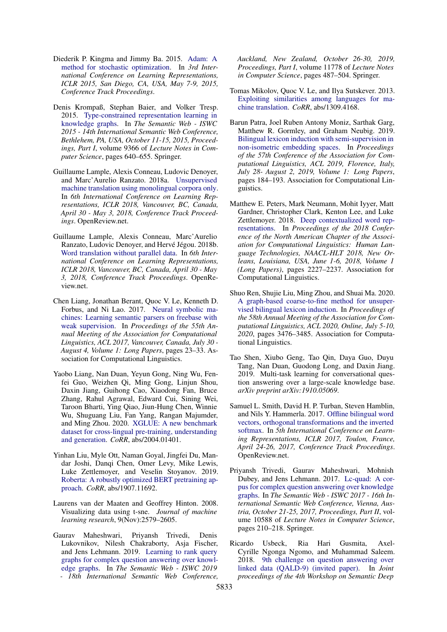- <span id="page-11-10"></span>Diederik P. Kingma and Jimmy Ba. 2015. [Adam: A](http://arxiv.org/abs/1412.6980) [method for stochastic optimization.](http://arxiv.org/abs/1412.6980) In *3rd International Conference on Learning Representations, ICLR 2015, San Diego, CA, USA, May 7-9, 2015, Conference Track Proceedings*.
- <span id="page-11-7"></span>Denis Krompaß, Stephan Baier, and Volker Tresp. 2015. [Type-constrained representation learning in](https://doi.org/10.1007/978-3-319-25007-6_37) [knowledge graphs.](https://doi.org/10.1007/978-3-319-25007-6_37) In *The Semantic Web - ISWC 2015 - 14th International Semantic Web Conference, Bethlehem, PA, USA, October 11-15, 2015, Proceedings, Part I*, volume 9366 of *Lecture Notes in Computer Science*, pages 640–655. Springer.
- <span id="page-11-16"></span>Guillaume Lample, Alexis Conneau, Ludovic Denoyer, and Marc'Aurelio Ranzato. 2018a. [Unsupervised](https://openreview.net/forum?id=rkYTTf-AZ) [machine translation using monolingual corpora only.](https://openreview.net/forum?id=rkYTTf-AZ) In *6th International Conference on Learning Representations, ICLR 2018, Vancouver, BC, Canada, April 30 - May 3, 2018, Conference Track Proceedings*. OpenReview.net.
- <span id="page-11-5"></span>Guillaume Lample, Alexis Conneau, Marc'Aurelio Ranzato, Ludovic Denoyer, and Hervé Jégou. 2018b. [Word translation without parallel data.](https://openreview.net/forum?id=H196sainb) In *6th International Conference on Learning Representations, ICLR 2018, Vancouver, BC, Canada, April 30 - May 3, 2018, Conference Track Proceedings*. OpenReview.net.
- <span id="page-11-0"></span>Chen Liang, Jonathan Berant, Quoc V. Le, Kenneth D. Forbus, and Ni Lao. 2017. [Neural symbolic ma](https://doi.org/10.18653/v1/P17-1003)[chines: Learning semantic parsers on freebase with](https://doi.org/10.18653/v1/P17-1003) [weak supervision.](https://doi.org/10.18653/v1/P17-1003) In *Proceedings of the 55th Annual Meeting of the Association for Computational Linguistics, ACL 2017, Vancouver, Canada, July 30 - August 4, Volume 1: Long Papers*, pages 23–33. Association for Computational Linguistics.
- <span id="page-11-4"></span>Yaobo Liang, Nan Duan, Yeyun Gong, Ning Wu, Fenfei Guo, Weizhen Qi, Ming Gong, Linjun Shou, Daxin Jiang, Guihong Cao, Xiaodong Fan, Bruce Zhang, Rahul Agrawal, Edward Cui, Sining Wei, Taroon Bharti, Ying Qiao, Jiun-Hung Chen, Winnie Wu, Shuguang Liu, Fan Yang, Rangan Majumder, and Ming Zhou. 2020. [XGLUE: A new benchmark](http://arxiv.org/abs/2004.01401) [dataset for cross-lingual pre-training, understanding](http://arxiv.org/abs/2004.01401) [and generation.](http://arxiv.org/abs/2004.01401) *CoRR*, abs/2004.01401.
- <span id="page-11-3"></span>Yinhan Liu, Myle Ott, Naman Goyal, Jingfei Du, Mandar Joshi, Danqi Chen, Omer Levy, Mike Lewis, Luke Zettlemoyer, and Veselin Stoyanov. 2019. [Roberta: A robustly optimized BERT pretraining ap](http://arxiv.org/abs/1907.11692)[proach.](http://arxiv.org/abs/1907.11692) *CoRR*, abs/1907.11692.
- <span id="page-11-11"></span>Laurens van der Maaten and Geoffrey Hinton. 2008. Visualizing data using t-sne. *Journal of machine learning research*, 9(Nov):2579–2605.
- <span id="page-11-6"></span>Gaurav Maheshwari, Priyansh Trivedi, Denis Lukovnikov, Nilesh Chakraborty, Asja Fischer, and Jens Lehmann. 2019. [Learning to rank query](https://doi.org/10.1007/978-3-030-30793-6_28) [graphs for complex question answering over knowl](https://doi.org/10.1007/978-3-030-30793-6_28)[edge graphs.](https://doi.org/10.1007/978-3-030-30793-6_28) In *The Semantic Web - ISWC 2019 - 18th International Semantic Web Conference,*

*Auckland, New Zealand, October 26-30, 2019, Proceedings, Part I*, volume 11778 of *Lecture Notes in Computer Science*, pages 487–504. Springer.

- <span id="page-11-12"></span>Tomas Mikolov, Quoc V. Le, and Ilya Sutskever. 2013. [Exploiting similarities among languages for ma](http://arxiv.org/abs/1309.4168)[chine translation.](http://arxiv.org/abs/1309.4168) *CoRR*, abs/1309.4168.
- <span id="page-11-14"></span>Barun Patra, Joel Ruben Antony Moniz, Sarthak Garg, Matthew R. Gormley, and Graham Neubig. 2019. [Bilingual lexicon induction with semi-supervision in](https://doi.org/10.18653/v1/p19-1018) [non-isometric embedding spaces.](https://doi.org/10.18653/v1/p19-1018) In *Proceedings of the 57th Conference of the Association for Computational Linguistics, ACL 2019, Florence, Italy, July 28- August 2, 2019, Volume 1: Long Papers*, pages 184–193. Association for Computational Linguistics.
- <span id="page-11-2"></span>Matthew E. Peters, Mark Neumann, Mohit Iyyer, Matt Gardner, Christopher Clark, Kenton Lee, and Luke Zettlemoyer. 2018. [Deep contextualized word rep](https://doi.org/10.18653/v1/n18-1202)[resentations.](https://doi.org/10.18653/v1/n18-1202) In *Proceedings of the 2018 Conference of the North American Chapter of the Association for Computational Linguistics: Human Language Technologies, NAACL-HLT 2018, New Orleans, Louisiana, USA, June 1-6, 2018, Volume 1 (Long Papers)*, pages 2227–2237. Association for Computational Linguistics.
- <span id="page-11-15"></span>Shuo Ren, Shujie Liu, Ming Zhou, and Shuai Ma. 2020. [A graph-based coarse-to-fine method for unsuper](https://www.aclweb.org/anthology/2020.acl-main.318/)[vised bilingual lexicon induction.](https://www.aclweb.org/anthology/2020.acl-main.318/) In *Proceedings of the 58th Annual Meeting of the Association for Computational Linguistics, ACL 2020, Online, July 5-10, 2020*, pages 3476–3485. Association for Computational Linguistics.
- <span id="page-11-1"></span>Tao Shen, Xiubo Geng, Tao Qin, Daya Guo, Duyu Tang, Nan Duan, Guodong Long, and Daxin Jiang. 2019. Multi-task learning for conversational question answering over a large-scale knowledge base. *arXiv preprint arXiv:1910.05069*.
- <span id="page-11-13"></span>Samuel L. Smith, David H. P. Turban, Steven Hamblin, and Nils Y. Hammerla. 2017. [Offline bilingual word](https://openreview.net/forum?id=r1Aab85gg) [vectors, orthogonal transformations and the inverted](https://openreview.net/forum?id=r1Aab85gg) [softmax.](https://openreview.net/forum?id=r1Aab85gg) In *5th International Conference on Learning Representations, ICLR 2017, Toulon, France, April 24-26, 2017, Conference Track Proceedings*. OpenReview.net.
- <span id="page-11-8"></span>Priyansh Trivedi, Gaurav Maheshwari, Mohnish Dubey, and Jens Lehmann. 2017. [Lc-quad: A cor](https://doi.org/10.1007/978-3-319-68204-4_22)[pus for complex question answering over knowledge](https://doi.org/10.1007/978-3-319-68204-4_22) [graphs.](https://doi.org/10.1007/978-3-319-68204-4_22) In *The Semantic Web - ISWC 2017 - 16th International Semantic Web Conference, Vienna, Austria, October 21-25, 2017, Proceedings, Part II*, volume 10588 of *Lecture Notes in Computer Science*, pages 210–218. Springer.
- <span id="page-11-9"></span>Ricardo Usbeck, Ria Hari Gusmita, Axel-Cyrille Ngonga Ngomo, and Muhammad Saleem. 2018. [9th challenge on question answering over](http://ceur-ws.org/Vol-2241/paper-06.pdf) [linked data \(QALD-9\) \(invited paper\).](http://ceur-ws.org/Vol-2241/paper-06.pdf) In *Joint proceedings of the 4th Workshop on Semantic Deep*